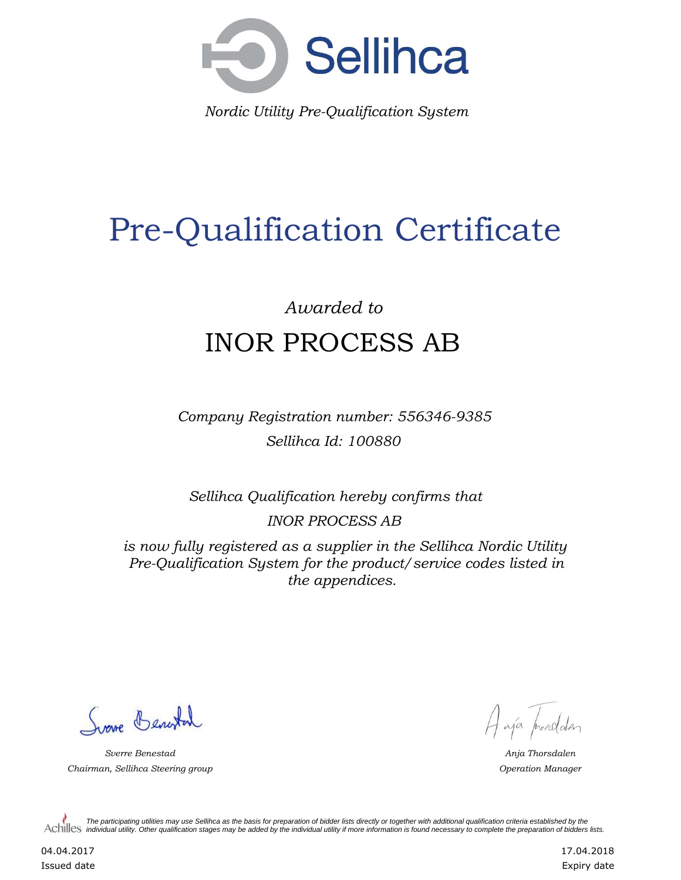

*Nordic Utility Pre-Qualification System*

## Pre-Qualification Certificate

## *Awarded to* INOR PROCESS AB

*Company Registration number: 556346-9385 Sellihca Id: 100880*

*Sellihca Qualification hereby confirms that*

*INOR PROCESS AB*

*is now fully registered as a supplier in the Sellihca Nordic Utility Pre-Qualification System for the product/service codes listed in the appendices.*

Surve Benestal

*Sverre Benestad Anja Thorsdalen Chairman, Sellihca Steering group Operation Manager*

A aja prosedden

*The participating utilities may use Sellihca as the basis for preparation of bidder lists directly or together with additional qualification criteria established by the*  Achilles *individual utility. Other qualification stages may be added by the individual utility if more information is found necessary to complete the preparation of bidders lists.* 

04.04.2017 Issued date 17.04.2018 Expiry date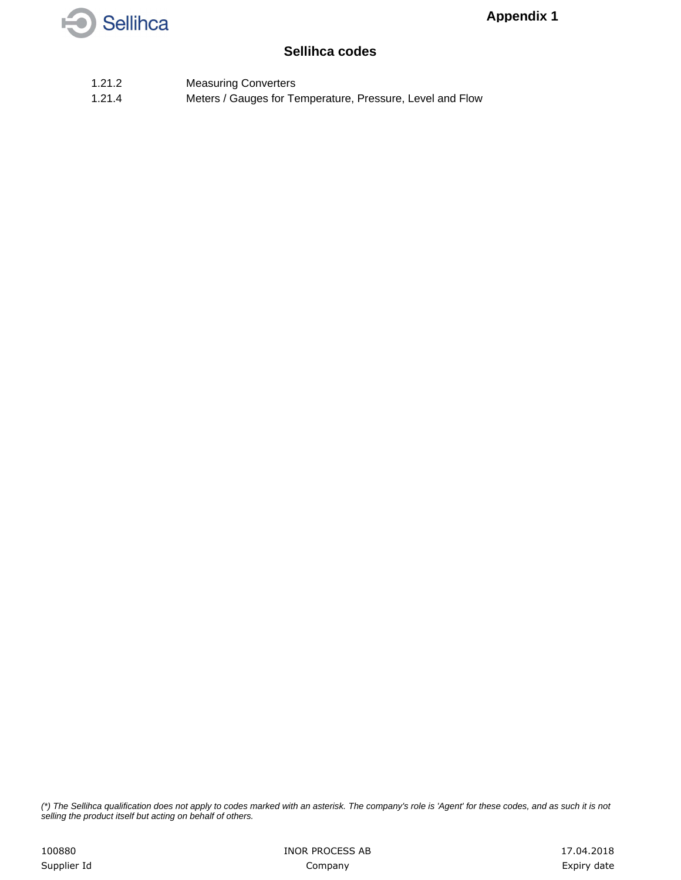

## **Sellihca codes**

- 1.21.2 Measuring Converters
- 1.21.4 Meters / Gauges for Temperature, Pressure, Level and Flow

*(\*) The Sellihca qualification does not apply to codes marked with an asterisk. The company's role is 'Agent' for these codes, and as such it is not selling the product itself but acting on behalf of others.*